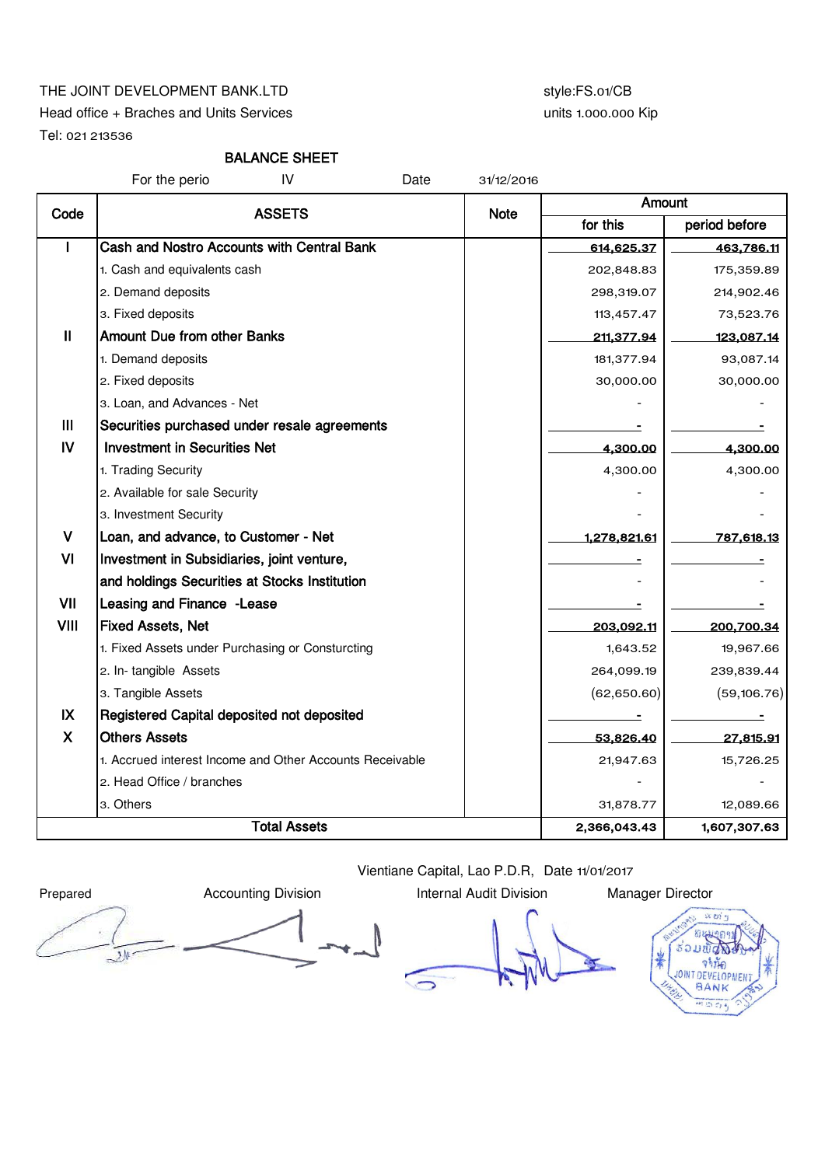## THE JOINT DEVELOPMENT BANK.LTD style:FS.01/CB

Head office + Braches and Units Services

Tel: 021 213536

# units 1.000.000 Kip

# BALANCE SHEET

|               | IV<br>For the perio                                      | Date | 31/12/2016 |               |                   |
|---------------|----------------------------------------------------------|------|------------|---------------|-------------------|
| Code          | <b>ASSETS</b>                                            | Note | Amount     |               |                   |
|               |                                                          |      | for this   | period before |                   |
|               | Cash and Nostro Accounts with Central Bank               |      |            | 614,625.37    | 463,786.11        |
|               | 1. Cash and equivalents cash                             |      |            | 202,848.83    | 175,359.89        |
|               | 2. Demand deposits                                       |      |            | 298,319.07    | 214,902.46        |
|               | 3. Fixed deposits                                        |      |            | 113,457.47    | 73,523.76         |
| $\mathbf{H}$  | <b>Amount Due from other Banks</b>                       |      |            | 211,377.94    | <u>123,087.14</u> |
|               | 1. Demand deposits                                       |      |            | 181,377.94    | 93,087.14         |
|               | 2. Fixed deposits                                        |      |            | 30,000.00     | 30,000.00         |
|               | 3. Loan, and Advances - Net                              |      |            |               |                   |
| Ш             | Securities purchased under resale agreements             |      |            |               |                   |
| IV            | <b>Investment in Securities Net</b>                      |      |            | 4,300.00      | 4,300.00          |
|               | 1. Trading Security                                      |      |            | 4,300.00      | 4,300.00          |
|               | 2. Available for sale Security                           |      |            |               |                   |
|               | 3. Investment Security                                   |      |            |               |                   |
| v             | Loan, and advance, to Customer - Net                     |      |            | 1,278,821.61  | 787,618.13        |
| VI            | Investment in Subsidiaries, joint venture,               |      |            |               |                   |
|               | and holdings Securities at Stocks Institution            |      |            |               |                   |
| VII           | Leasing and Finance -Lease                               |      |            |               |                   |
| VIII          | <b>Fixed Assets, Net</b>                                 |      |            | 203,092.11    | 200,700.34        |
|               | 1. Fixed Assets under Purchasing or Consturcting         |      |            | 1,643.52      | 19,967.66         |
|               | 2. In-tangible Assets                                    |      |            | 264,099.19    | 239,839.44        |
|               | 3. Tangible Assets                                       |      |            | (62,650.60)   | (59, 106.76)      |
| $\mathsf{IX}$ | Registered Capital deposited not deposited               |      |            | Ξ             |                   |
| $\mathsf{X}$  | <b>Others Assets</b>                                     |      |            | 53,826.40     | 27,815.91         |
|               | 1. Accrued interest Income and Other Accounts Receivable |      |            | 21,947.63     | 15,726.25         |
|               | 2. Head Office / branches                                |      |            |               |                   |
|               | 3. Others                                                |      |            | 31,878.77     | 12,089.66         |
|               | <b>Total Assets</b>                                      |      |            | 2,366,043.43  | 1,607,307.63      |

 $\overline{\mathcal{L}}$ 

Prepared **Accounting Division** Internal Audit Division Manager Director

Vientiane Capital, Lao P.D.R, Date 11/01/2017

 $\Box$ 

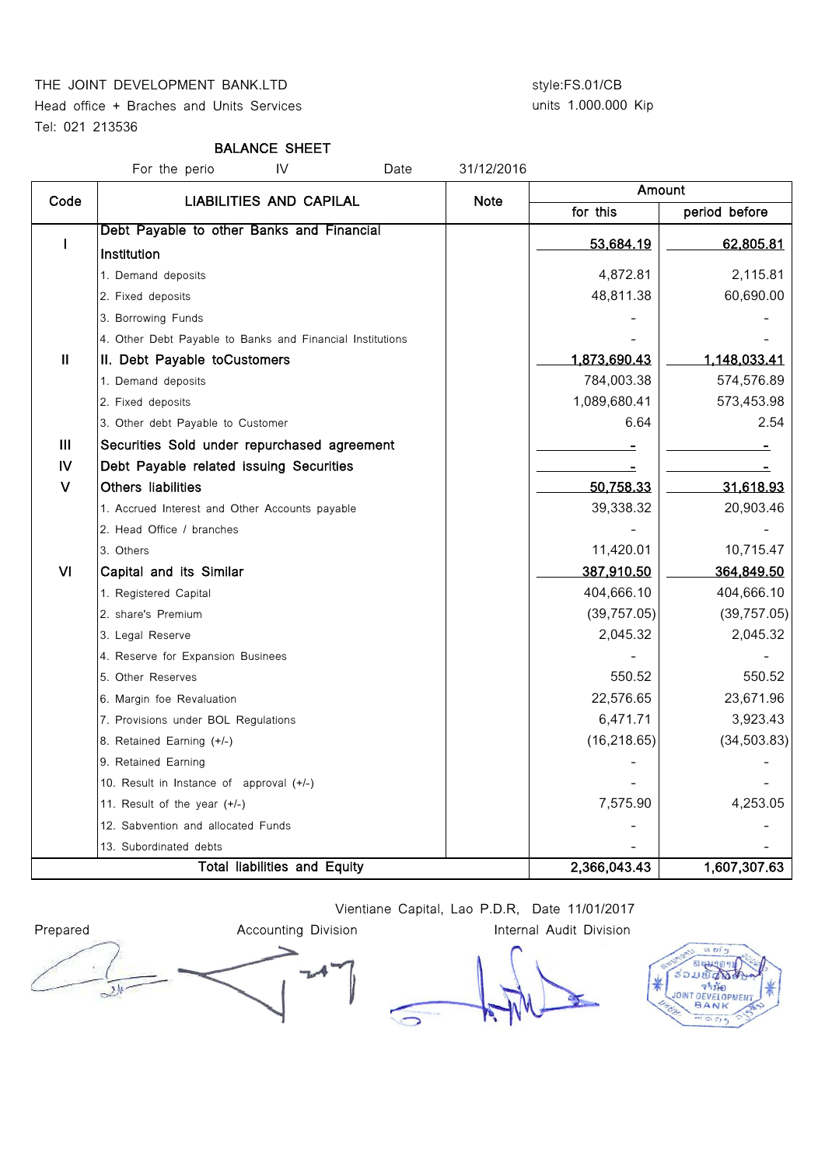### THE JOINT DEVELOPMENT BANK.LTD style:FS.01/CB

Head office + Braches and Units Services Tel: 021 213536

# units 1.000.000 Kip

### BALANCE SHEET

For the perio IV Date 31/12/2016

| Code          | <b>LIABILITIES AND CAPILAL</b>                            | <b>Note</b> | Amount       |               |  |
|---------------|-----------------------------------------------------------|-------------|--------------|---------------|--|
|               |                                                           |             | for this     | period before |  |
| $\mathbf{I}$  | Debt Payable to other Banks and Financial                 |             | 53,684.19    | 62,805.81     |  |
|               | Institution                                               |             |              |               |  |
|               | 1. Demand deposits                                        |             | 4,872.81     | 2,115.81      |  |
|               | 2. Fixed deposits                                         |             | 48,811.38    | 60,690.00     |  |
|               | 3. Borrowing Funds                                        |             |              |               |  |
|               | 4. Other Debt Payable to Banks and Financial Institutions |             |              |               |  |
| $\mathbf{II}$ | II. Debt Payable toCustomers                              |             | 1,873,690.43 | 1,148,033.41  |  |
|               | 1. Demand deposits                                        |             | 784,003.38   | 574,576.89    |  |
|               | 2. Fixed deposits                                         |             | 1,089,680.41 | 573,453.98    |  |
|               | 3. Other debt Payable to Customer                         |             | 6.64         | 2.54          |  |
| Ш             | Securities Sold under repurchased agreement               |             |              |               |  |
| IV            | Debt Payable related issuing Securities                   |             |              |               |  |
| $\mathbf{V}$  | Others liabilities                                        |             | 50,758.33    | 31,618.93     |  |
|               | 1. Accrued Interest and Other Accounts payable            |             | 39,338.32    | 20,903.46     |  |
|               | 2. Head Office / branches                                 |             |              |               |  |
|               | 3. Others                                                 |             | 11,420.01    | 10,715.47     |  |
| VI            | Capital and its Similar                                   |             | 387,910.50   | 364,849.50    |  |
|               | 1. Registered Capital                                     |             | 404,666.10   | 404,666.10    |  |
|               | 2. share's Premium                                        |             | (39, 757.05) | (39, 757.05)  |  |
|               | 3. Legal Reserve                                          |             | 2,045.32     | 2,045.32      |  |
|               | 4. Reserve for Expansion Businees                         |             |              |               |  |
|               | 5. Other Reserves                                         |             | 550.52       | 550.52        |  |
|               | 6. Margin foe Revaluation                                 |             | 22,576.65    | 23,671.96     |  |
|               | 7. Provisions under BOL Regulations                       |             | 6,471.71     | 3,923.43      |  |
|               | 8. Retained Earning (+/-)                                 |             | (16, 218.65) | (34, 503.83)  |  |
|               | 9. Retained Earning                                       |             |              |               |  |
|               | 10. Result in Instance of approval $(+/-)$                |             |              |               |  |
|               | 11. Result of the year (+/-)                              |             | 7,575.90     | 4,253.05      |  |
|               | 12. Sabvention and allocated Funds                        |             |              |               |  |
|               | 13. Subordinated debts                                    |             |              |               |  |
|               | <b>Total liabilities and Equity</b>                       |             | 2,366,043.43 | 1,607,307.63  |  |

Vientiane Capital, Lao P.D.R, Date 11/01/2017



 $\overline{\phantom{1}}$ 

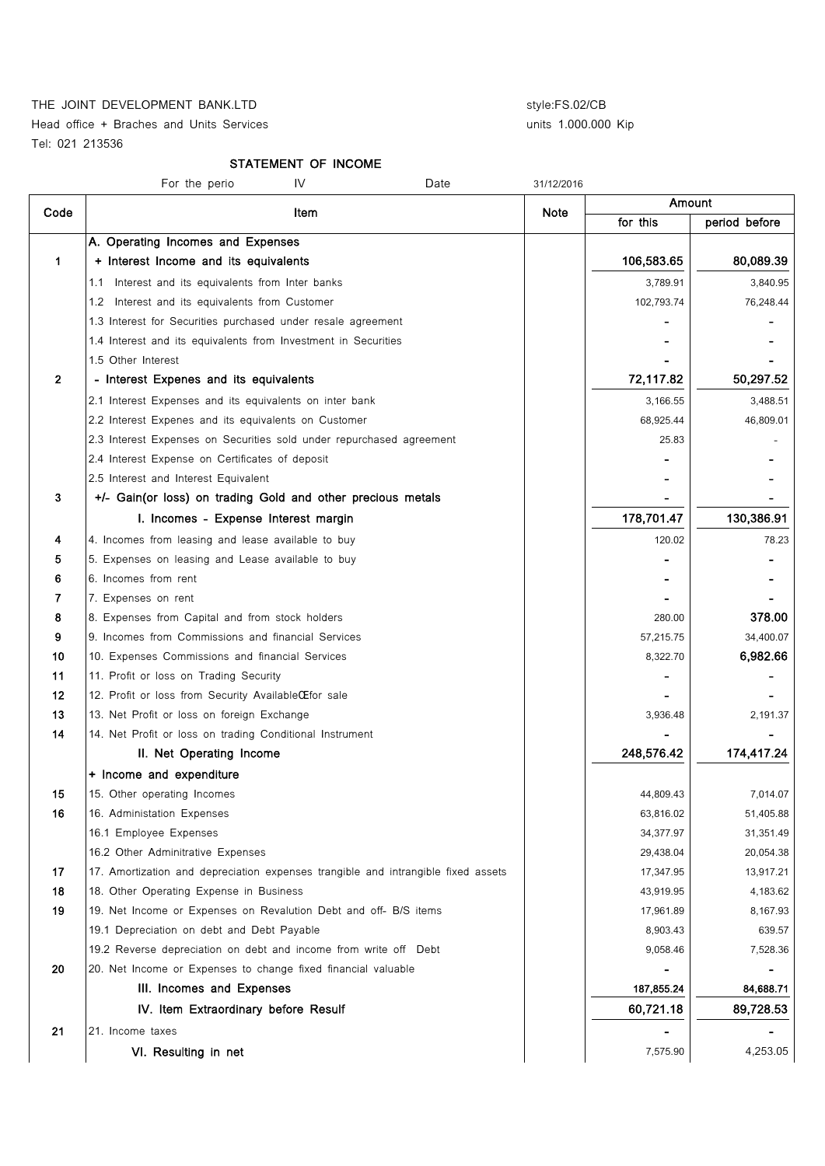THE JOINT DEVELOPMENT BANK.LTD style:FS.02/CB

Head office + Braches and Units Services Tel: 021 213536

units 1.000.000 Kip

## STATEMENT OF INCOME

|                | IV<br>For the perio<br>Date                                                       | 31/12/2016 |            |               |
|----------------|-----------------------------------------------------------------------------------|------------|------------|---------------|
| Code           | Item                                                                              | Note       | Amount     |               |
|                |                                                                                   |            | for this   | period before |
|                | A. Operating Incomes and Expenses                                                 |            |            |               |
| 1              | + Interest Income and its equivalents                                             |            | 106,583.65 | 80,089.39     |
|                | Interest and its equivalents from Inter banks<br>1.1                              |            | 3,789.91   | 3,840.95      |
|                | 1.2 Interest and its equivalents from Customer                                    |            | 102,793.74 | 76,248.44     |
|                | 1.3 Interest for Securities purchased under resale agreement                      |            |            |               |
|                | 1.4 Interest and its equivalents from Investment in Securities                    |            |            |               |
|                | 1.5 Other Interest                                                                |            |            |               |
| $\overline{2}$ | - Interest Expenes and its equivalents                                            |            | 72,117.82  | 50,297.52     |
|                | 2.1 Interest Expenses and its equivalents on inter bank                           |            | 3,166.55   | 3,488.51      |
|                | 2.2 Interest Expenes and its equivalents on Customer                              |            | 68,925.44  | 46,809.01     |
|                | 2.3 Interest Expenses on Securities sold under repurchased agreement              |            | 25.83      |               |
|                | 2.4 Interest Expense on Certificates of deposit                                   |            |            |               |
|                | 2.5 Interest and Interest Equivalent                                              |            |            |               |
| 3              | +/- Gain(or loss) on trading Gold and other precious metals                       |            |            |               |
|                | I. Incomes - Expense Interest margin                                              |            | 178,701.47 | 130,386.91    |
| 4              | 4. Incomes from leasing and lease available to buy                                |            | 120.02     | 78.23         |
| 5              | 5. Expenses on leasing and Lease available to buy                                 |            |            |               |
| 6              | 6. Incomes from rent                                                              |            |            |               |
| 7              | 7. Expenses on rent                                                               |            |            |               |
| 8              | 8. Expenses from Capital and from stock holders                                   |            | 280.00     | 378.00        |
| 9              | 9. Incomes from Commissions and financial Services                                |            | 57,215.75  | 34,400.07     |
| 10             | 10. Expenses Commissions and financial Services                                   |            | 8,322.70   | 6,982.66      |
| 11             | 11. Profit or loss on Trading Security                                            |            |            |               |
| 12             | 12. Profit or loss from Security AvailableCE for sale                             |            |            |               |
| 13             | 13. Net Profit or loss on foreign Exchange                                        |            | 3,936.48   | 2,191.37      |
| 14             | 14. Net Profit or loss on trading Conditional Instrument                          |            |            |               |
|                | II. Net Operating Income                                                          |            | 248,576.42 | 174,417.24    |
|                | + Income and expenditure                                                          |            |            |               |
| 15             | 15. Other operating Incomes                                                       |            | 44,809.43  | 7,014.07      |
| 16             | 16. Administation Expenses                                                        |            | 63,816.02  | 51,405.88     |
|                | 16.1 Employee Expenses                                                            |            | 34,377.97  | 31,351.49     |
|                | 16.2 Other Adminitrative Expenses                                                 |            | 29,438.04  | 20,054.38     |
| 17             | 17. Amortization and depreciation expenses trangible and intrangible fixed assets |            | 17,347.95  | 13,917.21     |
| 18             | 18. Other Operating Expense in Business                                           |            | 43,919.95  | 4,183.62      |
| 19             | 19. Net Income or Expenses on Revalution Debt and off- B/S items                  |            | 17,961.89  | 8,167.93      |
|                | 19.1 Depreciation on debt and Debt Payable                                        |            | 8,903.43   | 639.57        |
|                | 19.2 Reverse depreciation on debt and income from write off Debt                  |            | 9,058.46   | 7,528.36      |
| 20             | 20. Net Income or Expenses to change fixed financial valuable                     |            |            |               |
|                | III. Incomes and Expenses                                                         |            | 187,855.24 | 84,688.71     |
|                | IV. Item Extraordinary before Resulf                                              |            | 60,721.18  | 89,728.53     |
| 21             | 21. Income taxes                                                                  |            |            |               |
|                | VI. Resulting in net                                                              |            | 7,575.90   | 4,253.05      |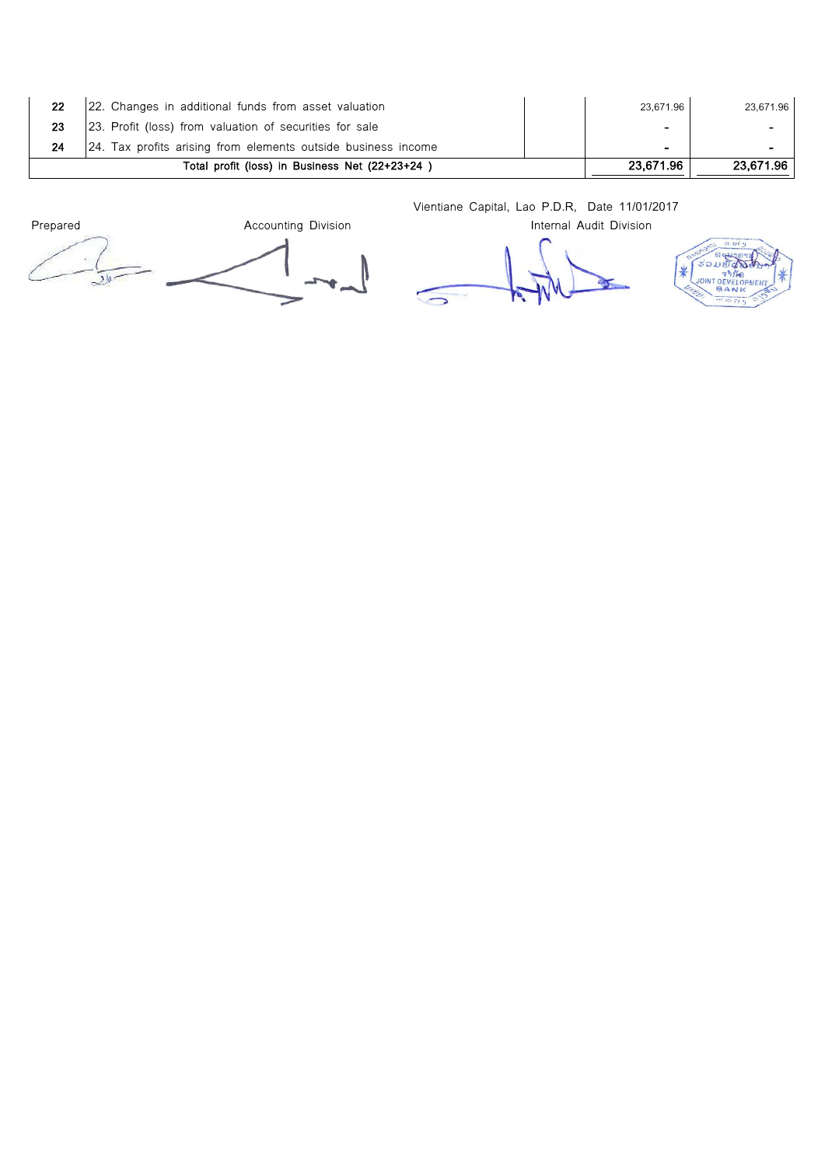| 22 | [22. Changes in additional funds from asset valuation          | 23.671.96      | 23,671.96 |
|----|----------------------------------------------------------------|----------------|-----------|
| 23 | 23. Profit (loss) from valuation of securities for sale        | ۰              |           |
|    | [24. Tax profits arising from elements outside business income | $\blacksquare$ | $\sim$    |
|    | Total profit (loss) in Business Net (22+23+24)                 | 23.671.96      | 23.671.96 |

Vientiane Capital, Lao P.D.R, Date 11/01/2017

 $x \nvert x$ **RADO** ຮ່ວມເ

**OINT DEVELO BA** 

 $*$ 

Prepared **Accounting Division** Internal Audit Division **Internal Audit Division** ١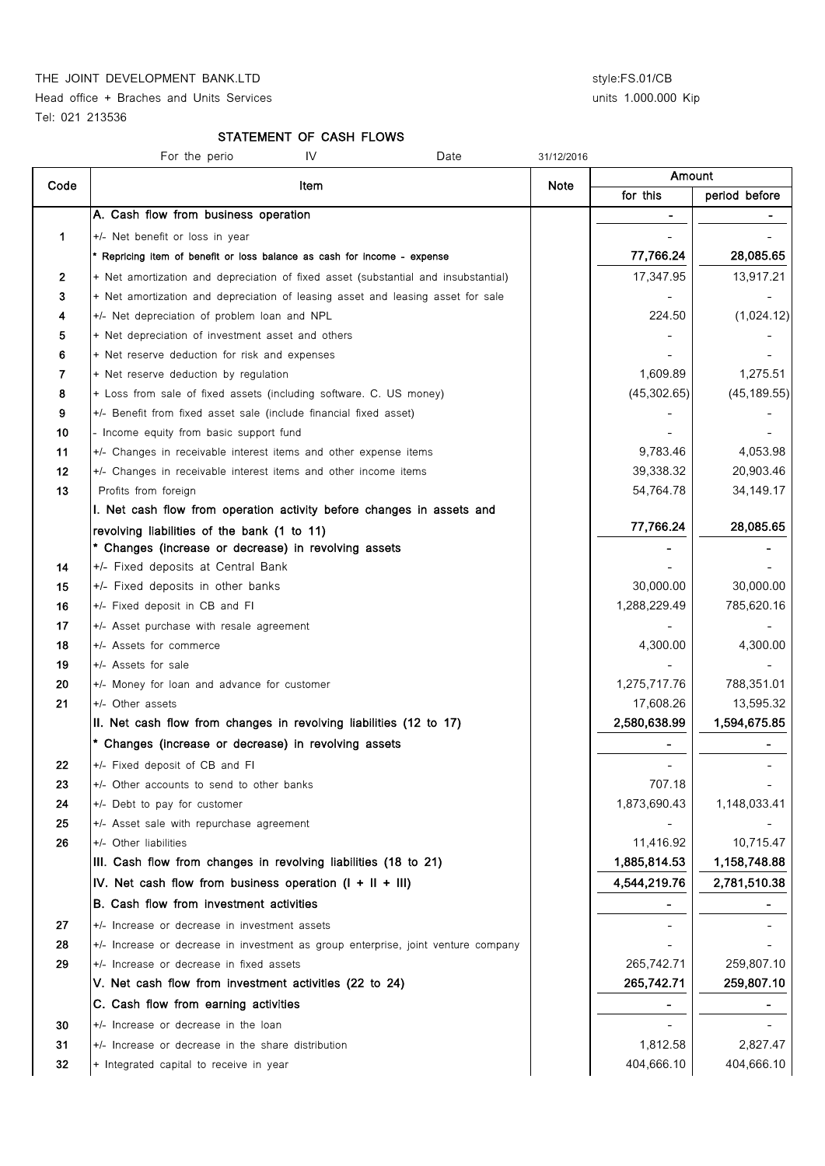Head office + Braches and Units Services and This Services units 1.000.000 Kip Tel: 021 213536

#### STATEMENT OF CASH FLOWS

|              | For the perio<br>IV<br>Date                                                              | 31/12/2016 |                          |               |
|--------------|------------------------------------------------------------------------------------------|------------|--------------------------|---------------|
| Code         |                                                                                          | Note       | Amount                   |               |
|              | Item                                                                                     |            | for this                 | period before |
|              | A. Cash flow from business operation                                                     |            | $\overline{\phantom{a}}$ |               |
| 1            | +/- Net benefit or loss in year                                                          |            |                          |               |
|              | * Repricing item of benefit or loss balance as cash for income - expense                 |            | 77,766.24                | 28,085.65     |
| $\mathbf{2}$ | + Net amortization and depreciation of fixed asset (substantial and insubstantial)       |            | 17,347.95                | 13,917.21     |
| 3            | + Net amortization and depreciation of leasing asset and leasing asset for sale          |            |                          |               |
| 4            | +/- Net depreciation of problem loan and NPL                                             |            | 224.50                   | (1,024.12)    |
| 5            | + Net depreciation of investment asset and others                                        |            |                          |               |
| 6            | + Net reserve deduction for risk and expenses                                            |            |                          |               |
| 7            | + Net reserve deduction by regulation                                                    |            | 1,609.89                 | 1,275.51      |
| 8            | + Loss from sale of fixed assets (including software. C. US money)                       |            | (45, 302.65)             | (45, 189.55)  |
| 9            | +/- Benefit from fixed asset sale (include financial fixed asset)                        |            |                          |               |
| 10           | - Income equity from basic support fund                                                  |            |                          |               |
| 11           | +/- Changes in receivable interest items and other expense items                         |            | 9,783.46                 | 4,053.98      |
| 12           | +/- Changes in receivable interest items and other income items                          |            | 39,338.32                | 20,903.46     |
| 13           | Profits from foreign                                                                     |            | 54,764.78                | 34,149.17     |
|              | I. Net cash flow from operation activity before changes in assets and                    |            |                          |               |
|              | revolving liabilities of the bank (1 to 11)                                              |            | 77,766.24                | 28,085.65     |
|              | * Changes (increase or decrease) in revolving assets                                     |            |                          |               |
| 14           | +/- Fixed deposits at Central Bank                                                       |            |                          |               |
| 15           | +/- Fixed deposits in other banks                                                        |            | 30,000.00                | 30,000.00     |
| 16           | +/- Fixed deposit in CB and FI                                                           |            | 1,288,229.49             | 785,620.16    |
| 17           | +/- Asset purchase with resale agreement                                                 |            |                          |               |
| 18           | +/- Assets for commerce                                                                  |            | 4,300.00                 | 4,300.00      |
| 19           | +/- Assets for sale                                                                      |            |                          |               |
| 20           | +/- Money for loan and advance for customer                                              |            | 1,275,717.76             | 788,351.01    |
| 21           | +/- Other assets                                                                         |            | 17,608.26                | 13,595.32     |
|              | II. Net cash flow from changes in revolving liabilities (12 to 17)                       |            | 2,580,638.99             | 1,594,675.85  |
|              | * Changes (increase or decrease) in revolving assets                                     |            |                          |               |
| 22           | +/- Fixed deposit of CB and FI                                                           |            |                          |               |
| 23           | +/- Other accounts to send to other banks                                                |            | 707.18                   |               |
| 24           | +/- Debt to pay for customer                                                             |            | 1,873,690.43             | 1,148,033.41  |
| 25<br>26     | +/- Asset sale with repurchase agreement                                                 |            | 11,416.92                | 10,715.47     |
|              | +/- Other liabilities<br>III. Cash flow from changes in revolving liabilities (18 to 21) |            | 1,885,814.53             | 1,158,748.88  |
|              |                                                                                          |            | 4,544,219.76             |               |
|              | IV. Net cash flow from business operation $(I + II + III)$                               |            |                          | 2,781,510.38  |
|              | B. Cash flow from investment activities                                                  |            |                          |               |
| 27           | +/- Increase or decrease in investment assets                                            |            |                          |               |
| 28           | +/- Increase or decrease in investment as group enterprise, joint venture company        |            |                          |               |
| 29           | +/- Increase or decrease in fixed assets                                                 |            | 265,742.71               | 259,807.10    |
|              | V. Net cash flow from investment activities (22 to 24)                                   |            | 265,742.71               | 259,807.10    |
|              | C. Cash flow from earning activities                                                     |            | $\blacksquare$           | -             |
| 30           | +/- Increase or decrease in the loan                                                     |            |                          |               |
| 31           | +/- Increase or decrease in the share distribution                                       |            | 1,812.58                 | 2,827.47      |
| 32           | + Integrated capital to receive in year                                                  |            | 404,666.10               | 404,666.10    |